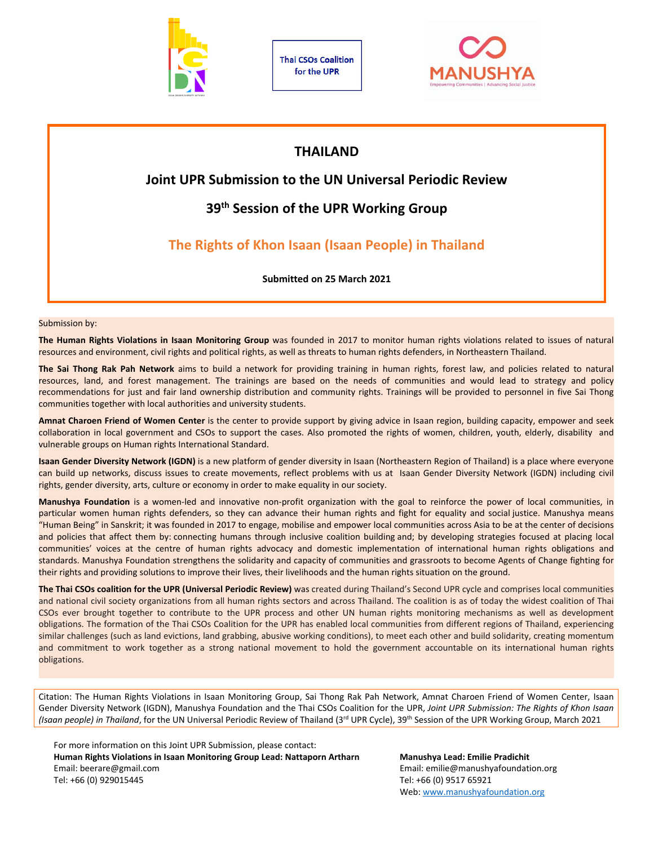

**Thai CSOs Coalition** for the UPR



# **THAILAND**

# **Joint UPR Submission to the UN Universal Periodic Review**

# **39th Session of the UPR Working Group**

# **The Rights of Khon Isaan (Isaan People) in Thailand**

**Submitted on 25 March 2021**

Submission by:

**The Human Rights Violations in Isaan Monitoring Group** was founded in 2017 to monitor human rights violations related to issues of natural resources and environment, civil rights and political rights, as well as threats to human rights defenders, in Northeastern Thailand.

**The Sai Thong Rak Pah Network** aims to build <sup>a</sup> network for providing training in human rights, forest law, and policies related to natural resources, land, and forest management. The trainings are based on the needs of communities and would lead to strategy and policy recommendations for just and fair land ownership distribution and community rights. Trainings will be provided to personnel in five Sai Thong communities together with local authorities and university students.

**Amnat Charoen Friend of Women Center** is the center to provide support by giving advice in Isaan region, building capacity, empower and seek collaboration in local government and CSOs to support the cases. Also promoted the rights of women, children, youth, elderly, disability and vulnerable groups on Human rights International Standard.

**Isaan Gender Diversity Network (IGDN)** is <sup>a</sup> new platform of gender diversity in Isaan (Northeastern Region of Thailand) is <sup>a</sup> place where everyone can build up networks, discuss issues to create movements, reflect problems with us at Isaan Gender Diversity Network (IGDN) including civil rights, gender diversity, arts, culture or economy in order to make equality in our society.

**Manushya Foundation** is <sup>a</sup> women-led and innovative non-profit organization with the goal to reinforce the power of local communities, in particular women human rights defenders, so they can advance their human rights and fight for equality and social justice. Manushya means "Human Being" in Sanskrit; it was founded in 2017 to engage, mobilise and empower local communities across Asia to be at the center of decisions and policies that affect them by: connecting humans through inclusive coalition building and; by developing strategies focused at placing local communities' voices at the centre of human rights advocacy and domestic implementation of international human rights obligations and standards. Manushya Foundation strengthens the solidarity and capacity of communities and grassroots to become Agents of Change fighting for their rights and providing solutions to improve their lives, their livelihoods and the human rights situation on the ground.

**The Thai CSOs coalition for the UPR [\(Universal](https://www.manushyafoundation.org/coalition-building) Periodic Review)** was created during Thailand'<sup>s</sup> Second UPR cycle and comprises local communities and national civil society organizations from all human rights sectors and across Thailand. The coalition is as of today the widest coalition of Thai CSOs ever brought together to contribute to the UPR process and other UN human rights monitoring mechanisms as well as development obligations. The formation of the Thai CSOs Coalition for the UPR has enabled local communities from different regions of Thailand, experiencing similar challenges (such as land evictions, land grabbing, abusive working conditions), to meet each other and build solidarity, creating momentum and commitment to work together as <sup>a</sup> strong national movement to hold the government accountable on its international human rights obligations.

Citation: The Human Rights Violations in Isaan Monitoring Group, Sai Thong Rak Pah Network, Amnat Charoen Friend of Women Center, Isaan Gender Diversity Network (IGDN), Manushya Foundation and the Thai CSOs Coalition for the UPR, *Joint UPR Submission: The Rights of Khon Isaan* (Isaan people) in Thailand, for the UN Universal Periodic Review of Thailand (3<sup>rd</sup> UPR Cycle), 39<sup>th</sup> Session of the UPR Working Group, March 2021

For more information on this Joint UPR Submission, please contact: **Human Rights Violations in Isaan Monitoring Group Lead: Nattaporn Artharn Manushya Lead: Emilie Pradichit** Email: beerare@gmail.com Email: emilie@manushyafoundation.org Tel: +66 (0) 929015445 Tel: +66 (0) 9517 65921

Web: [www.manushyafoundation.org](http://www.manushyafoundation.org)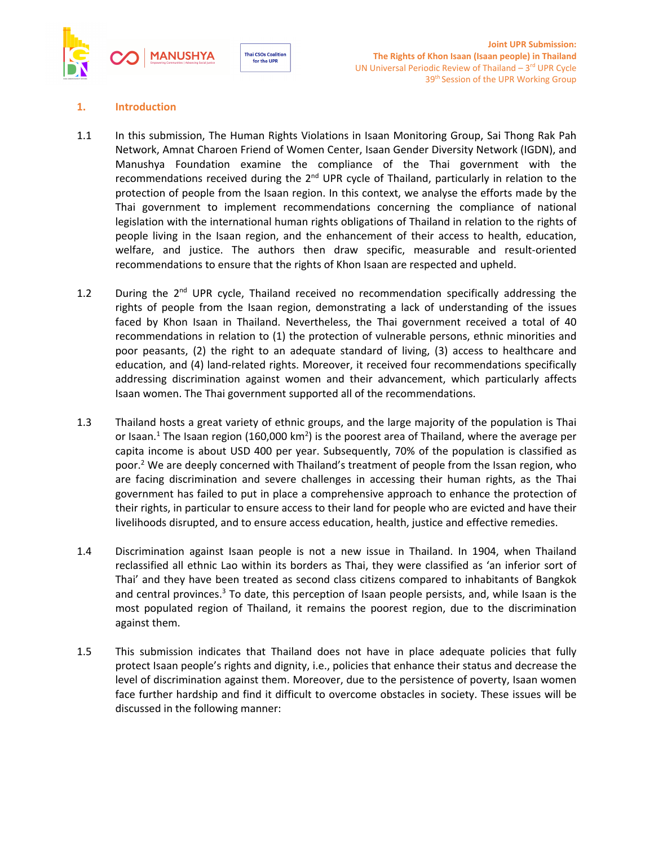

# **1. Introduction**

1.1 In this submission, The Human Rights Violations in Isaan Monitoring Group, Sai Thong Rak Pah Network, Amnat Charoen Friend of Women Center, Isaan Gender Diversity Network (IGDN), and Manushya Foundation examine the compliance of the Thai government with the recommendations received during the 2<sup>nd</sup> UPR cycle of Thailand, particularly in relation to the protection of people from the Isaan region. In this context, we analyse the efforts made by the Thai government to implement recommendations concerning the compliance of national legislation with the international human rights obligations of Thailand in relation to the rights of people living in the Isaan region, and the enhancement of their access to health, education, welfare, and justice. The authors then draw specific, measurable and result-oriented recommendations to ensure that the rights of Khon Isaan are respected and upheld.

**Thai CSOs Coalition** for the UPR

- 1.2 During the 2<sup>nd</sup> UPR cycle, Thailand received no recommendation specifically addressing the rights of people from the Isaan region, demonstrating <sup>a</sup> lack of understanding of the issues faced by Khon Isaan in Thailand. Nevertheless, the Thai government received <sup>a</sup> total of 40 recommendations in relation to (1) the protection of vulnerable persons, ethnic minorities and poor peasants, (2) the right to an adequate standard of living, (3) access to healthcare and education, and (4) land-related rights. Moreover, it received four recommendations specifically addressing discrimination against women and their advancement, which particularly affects Isaan women. The Thai government supported all of the recommendations.
- 1.3 Thailand hosts <sup>a</sup> great variety of ethnic groups, and the large majority of the population is Thai or Isaan.<sup>1</sup> The Isaan region (160,000 km<sup>2</sup>) is the poorest area of Thailand, where the average per capita income is about USD 400 per year. Subsequently, 70% of the population is classified as poor.<sup>2</sup> We are deeply concerned with Thailand's treatment of people from the Issan region, who are facing discrimination and severe challenges in accessing their human rights, as the Thai government has failed to put in place <sup>a</sup> comprehensive approach to enhance the protection of their rights, in particular to ensure access to their land for people who are evicted and have their livelihoods disrupted, and to ensure access education, health, justice and effective remedies.
- 1.4 Discrimination against Isaan people is not <sup>a</sup> new issue in Thailand. In 1904, when Thailand reclassified all ethnic Lao within its borders as Thai, they were classified as 'an inferior sort of Thai' and they have been treated as second class citizens compared to inhabitants of Bangkok and central provinces.<sup>3</sup> To date, this perception of Isaan people persists, and, while Isaan is the most populated region of Thailand, it remains the poorest region, due to the discrimination against them.
- 1.5 This submission indicates that Thailand does not have in place adequate policies that fully protect Isaan people'<sup>s</sup> rights and dignity, i.e., policies that enhance their status and decrease the level of discrimination against them. Moreover, due to the persistence of poverty, Isaan women face further hardship and find it difficult to overcome obstacles in society. These issues will be discussed in the following manner: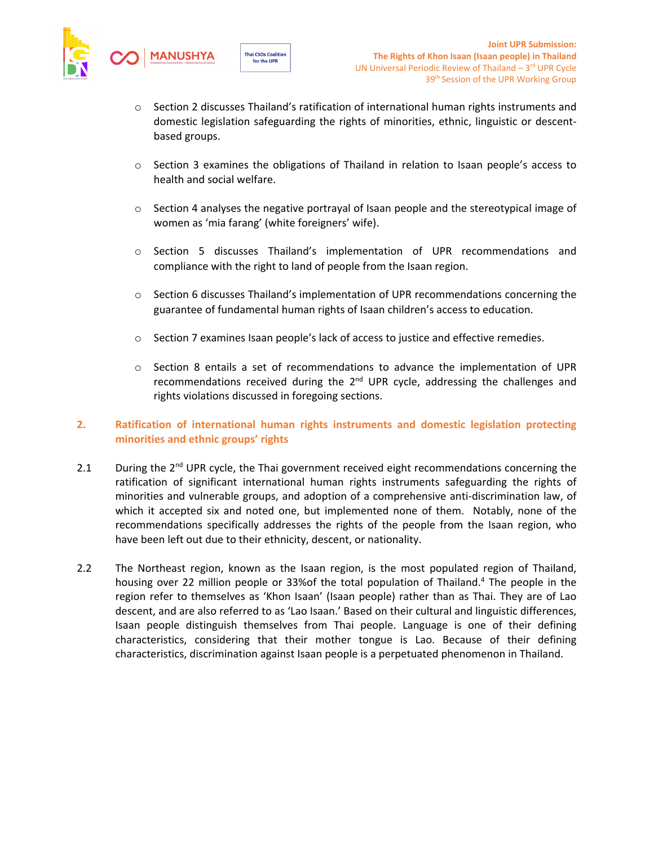

 $\circ$  Section 2 discusses Thailand's ratification of international human rights instruments and domestic legislation safeguarding the rights of minorities, ethnic, linguistic or descentbased groups.

for the UPR

- <sup>o</sup> Section 3 examines the obligations of Thailand in relation to Isaan people'<sup>s</sup> access to health and social welfare.
- <sup>o</sup> Section 4 analyses the negative portrayal of Isaan people and the stereotypical image of women as 'mia farang' (white foreigners' wife).
- <sup>o</sup> Section 5 discusses Thailand'<sup>s</sup> implementation of UPR recommendations and compliance with the right to land of people from the Isaan region.
- <sup>o</sup> Section 6 discusses Thailand'<sup>s</sup> implementation of UPR recommendations concerning the guarantee of fundamental human rights of Isaan children'<sup>s</sup> access to education.
- <sup>o</sup> Section 7 examines Isaan people'<sup>s</sup> lack of access to justice and effective remedies.
- <sup>o</sup> Section 8 entails <sup>a</sup> set of recommendations to advance the implementation of UPR recommendations received during the 2<sup>nd</sup> UPR cycle, addressing the challenges and rights violations discussed in foregoing sections.

# **2. Ratification of international human rights instruments and domestic legislation protecting minorities and ethnic groups' rights**

- 2.1  $\blacksquare$  During the 2<sup>nd</sup> UPR cycle, the Thai government received eight recommendations concerning the ratification of significant international human rights instruments safeguarding the rights of minorities and vulnerable groups, and adoption of <sup>a</sup> comprehensive anti-discrimination law, of which it accepted six and noted one, but implemented none of them. Notably, none of the recommendations specifically addresses the rights of the people from the Isaan region, who have been left out due to their ethnicity, descent, or nationality.
- 2.2 The Northeast region, known as the Isaan region, is the most populated region of Thailand, housing over 22 million people or 33%of the total population of Thailand.<sup>4</sup> The people in the region refer to themselves as 'Khon Isaan' (Isaan people) rather than as Thai. They are of Lao descent, and are also referred to as 'Lao Isaan.' Based on their cultural and linguistic differences, Isaan people distinguish themselves from Thai people. Language is one of their defining characteristics, considering that their mother tongue is Lao. Because of their defining characteristics, discrimination against Isaan people is <sup>a</sup> perpetuated phenomenon in Thailand.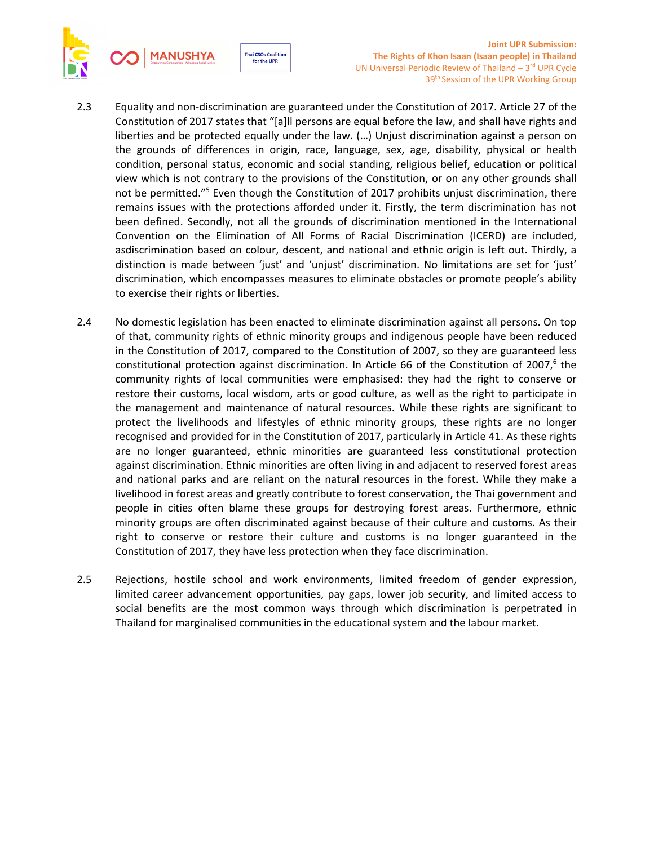

- 2.3 Equality and non-discrimination are guaranteed under the Constitution of 2017. Article 27 of the Constitution of 2017 states that "[a]ll persons are equal before the law, and shall have rights and liberties and be protected equally under the law. (…) Unjust discrimination against <sup>a</sup> person on the grounds of differences in origin, race, language, sex, age, disability, physical or health condition, personal status, economic and social standing, religious belief, education or political view which is not contrary to the provisions of the Constitution, or on any other grounds shall not be permitted."<sup>5</sup> Even though the Constitution of 2017 prohibits unjust discrimination, there remains issues with the protections afforded under it. Firstly, the term discrimination has not been defined. Secondly, not all the grounds of discrimination mentioned in the International Convention on the Elimination of All Forms of Racial Discrimination (ICERD) are included, asdiscrimination based on colour, descent, and national and ethnic origin is left out. Thirdly, <sup>a</sup> distinction is made between 'just' and 'unjust' discrimination. No limitations are set for 'just' discrimination, which encompasses measures to eliminate obstacles or promote people'<sup>s</sup> ability to exercise their rights or liberties.
- 2.4 No domestic legislation has been enacted to eliminate discrimination against all persons. On top of that, community rights of ethnic minority groups and indigenous people have been reduced in the Constitution of 2017, compared to the Constitution of 2007, so they are guaranteed less constitutional protection against discrimination. In Article 66 of the Constitution of 2007, $^6$  the community rights of local communities were emphasised: they had the right to conserve or restore their customs, local wisdom, arts or good culture, as well as the right to participate in the management and maintenance of natural resources. While these rights are significant to protect the livelihoods and lifestyles of ethnic minority groups, these rights are no longer recognised and provided for in the Constitution of 2017, particularly in Article 41. As these rights are no longer guaranteed, ethnic minorities are guaranteed less constitutional protection against discrimination. Ethnic minorities are often living in and adjacent to reserved forest areas and national parks and are reliant on the natural resources in the forest. While they make <sup>a</sup> livelihood in forest areas and greatly contribute to forest conservation, the Thai government and people in cities often blame these groups for destroying forest areas. Furthermore, ethnic minority groups are often discriminated against because of their culture and customs. As their right to conserve or restore their culture and customs is no longer guaranteed in the Constitution of 2017, they have less protection when they face discrimination.
- 2.5 Rejections, hostile school and work environments, limited freedom of gender expression, limited career advancement opportunities, pay gaps, lower job security, and limited access to social benefits are the most common ways through which discrimination is perpetrated in Thailand for marginalised communities in the educational system and the labour market.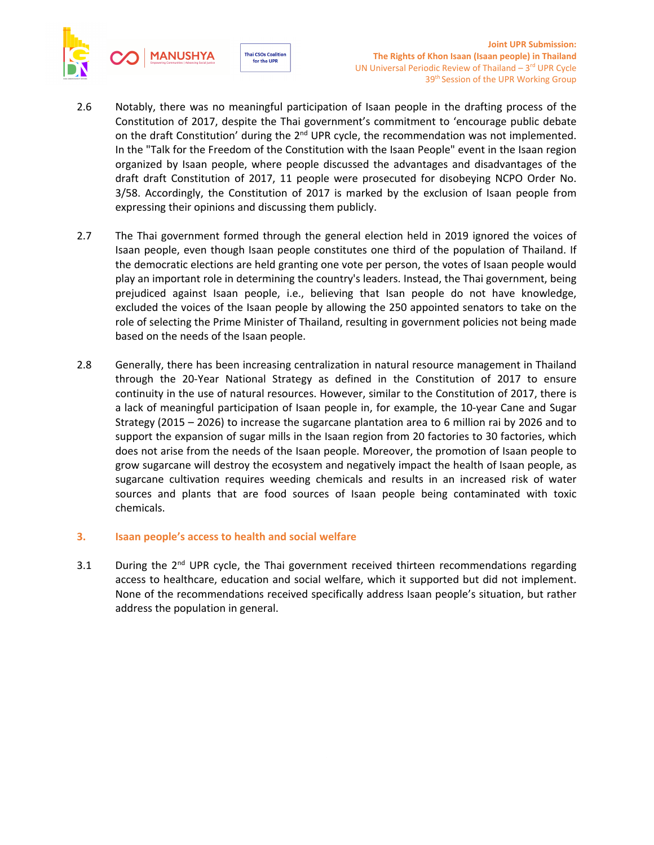



- 2.6 Notably, there was no meaningful participation of Isaan people in the drafting process of the Constitution of 2017, despite the Thai government'<sup>s</sup> commitment to 'encourage public debate on the draft Constitution' during the 2<sup>nd</sup> UPR cycle, the recommendation was not implemented. In the "Talk for the Freedom of the Constitution with the Isaan People" event in the Isaan region organized by Isaan people, where people discussed the advantages and disadvantages of the draft draft Constitution of 2017, 11 people were prosecuted for disobeying NCPO Order No. 3/58. Accordingly, the Constitution of 2017 is marked by the exclusion of Isaan people from expressing their opinions and discussing them publicly.
- 2.7 The Thai government formed through the general election held in 2019 ignored the voices of Isaan people, even though Isaan people constitutes one third of the population of Thailand. If the democratic elections are held granting one vote per person, the votes of Isaan people would play an important role in determining the country's leaders. Instead, the Thai government, being prejudiced against Isaan people, i.e., believing that Isan people do not have knowledge, excluded the voices of the Isaan people by allowing the 250 appointed senators to take on the role of selecting the Prime Minister of Thailand, resulting in government policies not being made based on the needs of the Isaan people.
- 2.8 Generally, there has been increasing centralization in natural resource management in Thailand through the 20-Year National Strategy as defined in the Constitution of 2017 to ensure continuity in the use of natural resources. However, similar to the Constitution of 2017, there is <sup>a</sup> lack of meaningful participation of Isaan people in, for example, the 10-year Cane and Sugar Strategy (2015 – 2026) to increase the sugarcane plantation area to 6 million rai by 2026 and to support the expansion of sugar mills in the Isaan region from 20 factories to 30 factories, which does not arise from the needs of the Isaan people. Moreover, the promotion of Isaan people to grow sugarcane will destroy the ecosystem and negatively impact the health of Isaan people, as sugarcane cultivation requires weeding chemicals and results in an increased risk of water sources and plants that are food sources of Isaan people being contaminated with toxic chemicals.
- **3. Isaan people'<sup>s</sup> access to health and social welfare**
- 3.1 During the 2<sup>nd</sup> UPR cycle, the Thai government received thirteen recommendations regarding access to healthcare, education and social welfare, which it supported but did not implement. None of the recommendations received specifically address Isaan people'<sup>s</sup> situation, but rather address the population in general.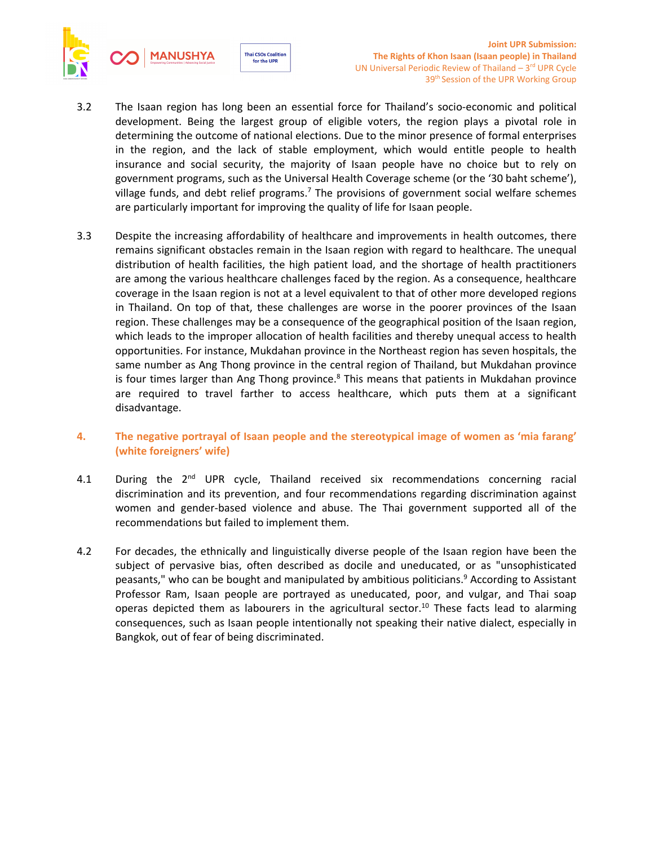

3.2 The Isaan region has long been an essential force for Thailand'<sup>s</sup> socio-economic and political development. Being the largest group of eligible voters, the region plays <sup>a</sup> pivotal role in determining the outcome of national elections. Due to the minor presence of formal enterprises in the region, and the lack of stable employment, which would entitle people to health insurance and social security, the majority of Isaan people have no choice but to rely on government programs, such as the Universal Health Coverage scheme (or the '30 baht scheme'), village funds, and debt relief programs.<sup>7</sup> The provisions of government social welfare schemes are particularly important for improving the quality of life for Isaan people.

for the UPR

- 3.3 Despite the increasing affordability of healthcare and improvements in health outcomes, there remains significant obstacles remain in the Isaan region with regard to healthcare. The unequal distribution of health facilities, the high patient load, and the shortage of health practitioners are among the various healthcare challenges faced by the region. As <sup>a</sup> consequence, healthcare coverage in the Isaan region is not at <sup>a</sup> level equivalent to that of other more developed regions in Thailand. On top of that, these challenges are worse in the poorer provinces of the Isaan region. These challenges may be <sup>a</sup> consequence of the geographical position of the Isaan region, which leads to the improper allocation of health facilities and thereby unequal access to health opportunities. For instance, Mukdahan province in the Northeast region has seven hospitals, the same number as Ang Thong province in the central region of Thailand, but Mukdahan province is four times larger than Ang Thong province. 8 This means that patients in Mukdahan province are required to travel farther to access healthcare, which puts them at <sup>a</sup> significant disadvantage.
- **4. The negative portrayal of Isaan people and the stereotypical image of women as 'mia farang' (white foreigners' wife)**
- 4.1 During the 2<sup>nd</sup> UPR cycle, Thailand received six recommendations concerning racial discrimination and its prevention, and four recommendations regarding discrimination against women and gender-based violence and abuse. The Thai government supported all of the recommendations but failed to implement them.
- 4.2 For decades, the ethnically and linguistically diverse people of the Isaan region have been the subject of pervasive bias, often described as docile and uneducated, or as "unsophisticated peasants," who can be bought and manipulated by ambitious politicians.<sup>9</sup> According to Assistant Professor Ram, Isaan people are portrayed as uneducated, poor, and vulgar, and Thai soap operas depicted them as labourers in the agricultural sector.<sup>10</sup> These facts lead to alarming consequences, such as Isaan people intentionally not speaking their native dialect, especially in Bangkok, out of fear of being discriminated.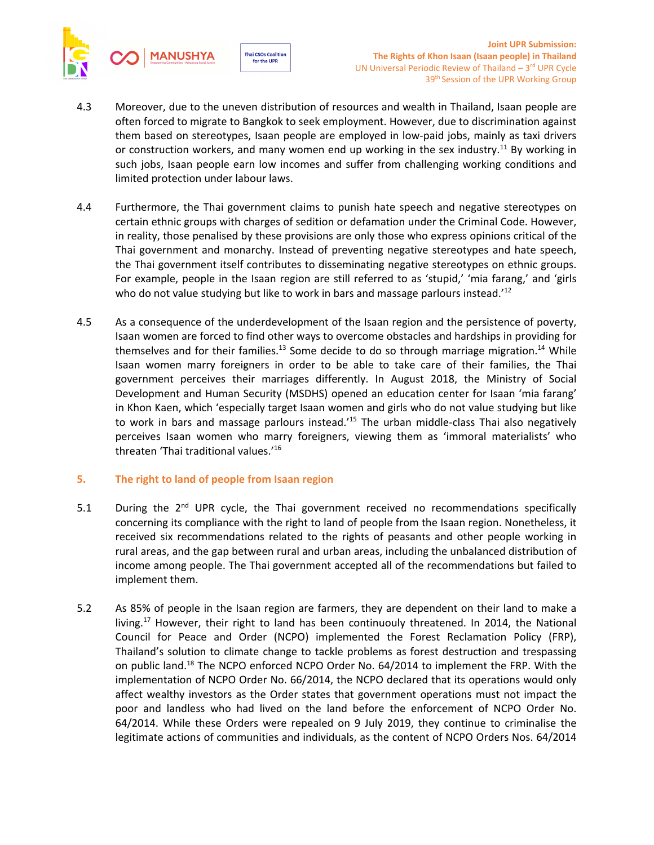



- 4.3 Moreover, due to the uneven distribution of resources and wealth in Thailand, Isaan people are often forced to migrate to Bangkok to seek employment. However, due to discrimination against them based on stereotypes, Isaan people are employed in low-paid jobs, mainly as taxi drivers or construction workers, and many women end up working in the sex industry.<sup>11</sup> By working in such jobs, Isaan people earn low incomes and suffer from challenging working conditions and limited protection under labour laws.
- 4.4 Furthermore, the Thai government claims to punish hate speech and negative stereotypes on certain ethnic groups with charges of sedition or defamation under the Criminal Code. However, in reality, those penalised by these provisions are only those who express opinions critical of the Thai government and monarchy. Instead of preventing negative stereotypes and hate speech, the Thai government itself contributes to disseminating negative stereotypes on ethnic groups. For example, people in the Isaan region are still referred to as 'stupid,' 'mia farang,' and 'girls who do not value studying but like to work in bars and massage parlours instead.'<sup>12</sup>
- 4.5 As <sup>a</sup> consequence of the underdevelopment of the Isaan region and the persistence of poverty, Isaan women are forced to find other ways to overcome obstacles and hardships in providing for themselves and for their families.<sup>13</sup> Some decide to do so through marriage migration.<sup>14</sup> While Isaan women marry foreigners in order to be able to take care of their families, the Thai government perceives their marriages differently. In August 2018, the Ministry of Social Development and Human Security (MSDHS) opened an education center for Isaan 'mia farang' in Khon Kaen, which 'especially target Isaan women and girls who do not value studying but like to work in bars and massage parlours instead.<sup>15</sup> The urban middle-class Thai also negatively perceives Isaan women who marry foreigners, viewing them as 'immoral materialists' who threaten 'Thai traditional values.' 16

# **5. The right to land of people from Isaan region**

- 5.1 During the  $2^{nd}$  UPR cycle, the Thai government received no recommendations specifically concerning its compliance with the right to land of people from the Isaan region. Nonetheless, it received six recommendations related to the rights of peasants and other people working in rural areas, and the gap between rural and urban areas, including the unbalanced distribution of income among people. The Thai government accepted all of the recommendations but failed to implement them.
- 5.2 As 85% of people in the Isaan region are farmers, they are dependent on their land to make <sup>a</sup> living.<sup>17</sup> However, their right to land has been continuouly threatened. In 2014, the National Council for Peace and Order (NCPO) implemented the Forest Reclamation Policy (FRP), Thailand'<sup>s</sup> solution to climate change to tackle problems as forest destruction and trespassing on public land.<sup>18</sup> The NCPO enforced NCPO Order No. 64/2014 to implement the FRP. With the implementation of NCPO Order No. 66/2014, the NCPO declared that its operations would only affect wealthy investors as the Order states that government operations must not impact the poor and landless who had lived on the land before the enforcement of NCPO Order No. 64/2014. While these Orders were repealed on 9 July 2019, they continue to criminalise the legitimate actions of communities and individuals, as the content of NCPO Orders Nos. 64/2014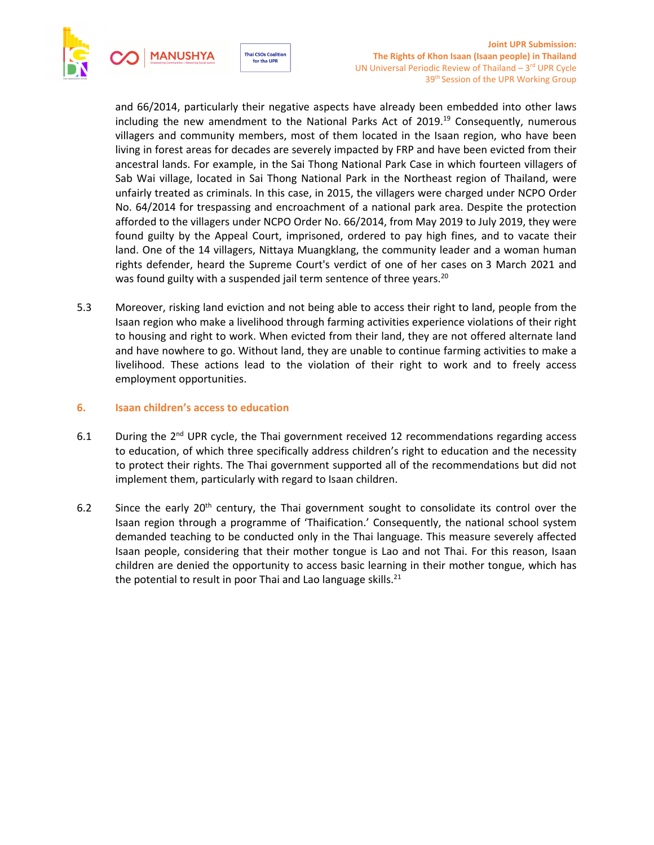



and 66/2014, particularly their negative aspects have already been embedded into other laws including the new amendment to the National Parks Act of 2019.<sup>19</sup> Consequently, numerous villagers and community members, most of them located in the Isaan region, who have been living in forest areas for decades are severely impacted by FRP and have been evicted from their ancestral lands. For example, in the Sai Thong National Park Case in which fourteen villagers of Sab Wai village, located in Sai Thong National Park in the Northeast region of Thailand, were unfairly treated as criminals. In this case, in 2015, the villagers were charged under NCPO Order No. 64/2014 for trespassing and encroachment of <sup>a</sup> national park area. Despite the protection afforded to the villagers under NCPO Order No. 66/2014, from May 2019 to July 2019, they were found guilty by the Appeal Court, imprisoned, ordered to pay high fines, and to vacate their land. One of the 14 villagers, Nittaya Muangklang, the community leader and <sup>a</sup> woman human rights defender, heard the Supreme Court's verdict of one of her cases on 3 March 2021 and was found guilty with a suspended jail term sentence of three years.<sup>20</sup>

5.3 Moreover, risking land eviction and not being able to access their right to land, people from the Isaan region who make <sup>a</sup> livelihood through farming activities experience violations of their right to housing and right to work. When evicted from their land, they are not offered alternate land and have nowhere to go. Without land, they are unable to continue farming activities to make <sup>a</sup> livelihood. These actions lead to the violation of their right to work and to freely access employment opportunities.

## **6. Isaan children'<sup>s</sup> access to education**

- 6.1  $\blacksquare$  During the 2<sup>nd</sup> UPR cycle, the Thai government received 12 recommendations regarding access to education, of which three specifically address children'<sup>s</sup> right to education and the necessity to protect their rights. The Thai government supported all of the recommendations but did not implement them, particularly with regard to Isaan children.
- 6.2 Since the early 20<sup>th</sup> century, the Thai government sought to consolidate its control over the Isaan region through <sup>a</sup> programme of 'Thaification.' Consequently, the national school system demanded teaching to be conducted only in the Thai language. This measure severely affected Isaan people, considering that their mother tongue is Lao and not Thai. For this reason, Isaan children are denied the opportunity to access basic learning in their mother tongue, which has the potential to result in poor Thai and Lao language skills.<sup>21</sup>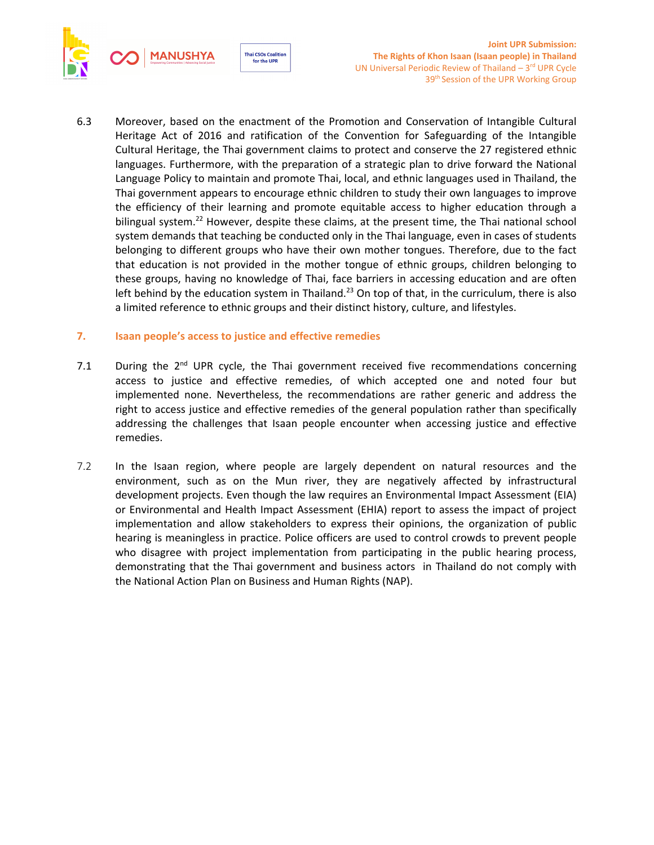



6.3 Moreover, based on the enactment of the Promotion and Conservation of Intangible Cultural Heritage Act of 2016 and ratification of the Convention for Safeguarding of the Intangible Cultural Heritage, the Thai government claims to protect and conserve the 27 registered ethnic languages. Furthermore, with the preparation of <sup>a</sup> strategic plan to drive forward the National Language Policy to maintain and promote Thai, local, and ethnic languages used in Thailand, the Thai government appears to encourage ethnic children to study their own languages to improve the efficiency of their learning and promote equitable access to higher education through <sup>a</sup> bilingual system.<sup>22</sup> However, despite these claims, at the present time, the Thai national school system demands that teaching be conducted only in the Thai language, even in cases of students belonging to different groups who have their own mother tongues. Therefore, due to the fact that education is not provided in the mother tongue of ethnic groups, children belonging to these groups, having no knowledge of Thai, face barriers in accessing education and are often left behind by the education system in Thailand.<sup>23</sup> On top of that, in the curriculum, there is also <sup>a</sup> limited reference to ethnic groups and their distinct history, culture, and lifestyles.

## **7. Isaan people'<sup>s</sup> access to justice and effective remedies**

- 7.1 During the  $2^{nd}$  UPR cycle, the Thai government received five recommendations concerning access to justice and effective remedies, of which accepted one and noted four but implemented none. Nevertheless, the recommendations are rather generic and address the right to access justice and effective remedies of the general population rather than specifically addressing the challenges that Isaan people encounter when accessing justice and effective remedies.
- 7.2 In the Isaan region, where people are largely dependent on natural resources and the environment, such as on the Mun river, they are negatively affected by infrastructural development projects. Even though the law requires an Environmental Impact Assessment (EIA) or Environmental and Health Impact Assessment (EHIA) report to assess the impact of project implementation and allow stakeholders to express their opinions, the organization of public hearing is meaningless in practice. Police officers are used to control crowds to prevent people who disagree with project implementation from participating in the public hearing process, demonstrating that the Thai government and business actors in Thailand do not comply with the National Action Plan on Business and Human Rights (NAP).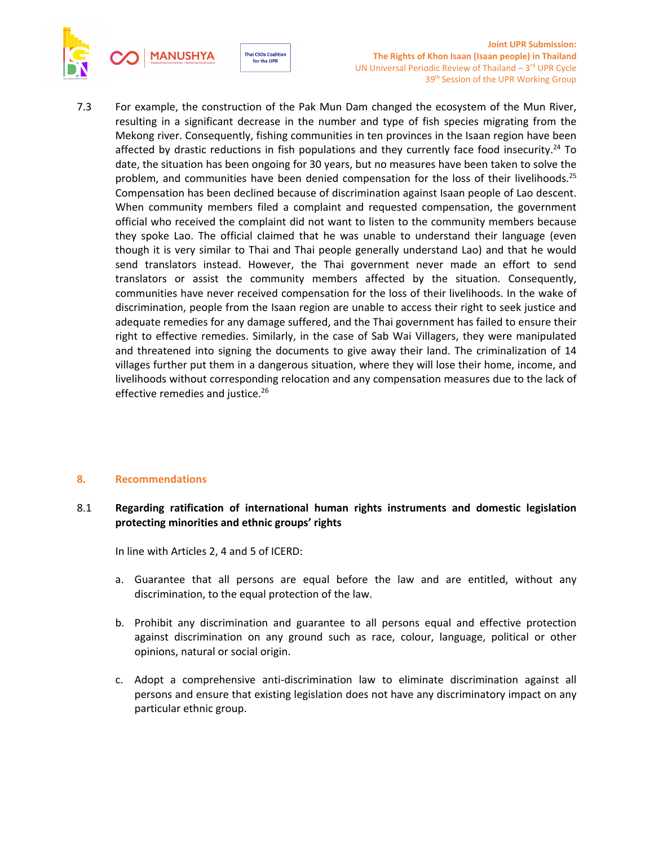

**Joint UPR Submission: The Rights of Khon Isaan (Isaan people) in Thailand** UN Universal Periodic Review of Thailand  $-3<sup>rd</sup>$  UPR Cycle 39<sup>th</sup> Session of the UPR Working Group

7.3 For example, the construction of the Pak Mun Dam changed the ecosystem of the Mun River, resulting in <sup>a</sup> significant decrease in the number and type of fish species migrating from the Mekong river. Consequently, fishing communities in ten provinces in the Isaan region have been affected by drastic reductions in fish populations and they currently face food insecurity.<sup>24</sup> To date, the situation has been ongoing for 30 years, but no measures have been taken to solve the problem, and communities have been denied compensation for the loss of their livelihoods.<sup>25</sup> Compensation has been declined because of discrimination against Isaan people of Lao descent. When community members filed <sup>a</sup> complaint and requested compensation, the government official who received the complaint did not want to listen to the community members because they spoke Lao. The official claimed that he was unable to understand their language (even though it is very similar to Thai and Thai people generally understand Lao) and that he would send translators instead. However, the Thai government never made an effort to send translators or assist the community members affected by the situation. Consequently, communities have never received compensation for the loss of their livelihoods. In the wake of discrimination, people from the Isaan region are unable to access their right to seek justice and adequate remedies for any damage suffered, and the Thai government has failed to ensure their right to effective remedies. Similarly, in the case of Sab Wai Villagers, they were manipulated and threatened into signing the documents to give away their land. The criminalization of 14 villages further put them in <sup>a</sup> dangerous situation, where they will lose their home, income, and livelihoods without corresponding relocation and any compensation measures due to the lack of effective remedies and justice. 26

#### **8. Recommendations**

# 8.1 **Regarding ratification of international human rights instruments and domestic legislation protecting minorities and ethnic groups' rights**

In line with Articles 2, 4 and 5 of ICERD:

- a. Guarantee that all persons are equal before the law and are entitled, without any discrimination, to the equal protection of the law.
- b. Prohibit any discrimination and guarantee to all persons equal and effective protection against discrimination on any ground such as race, colour, language, political or other opinions, natural or social origin.
- c. Adopt <sup>a</sup> comprehensive anti-discrimination law to eliminate discrimination against all persons and ensure that existing legislation does not have any discriminatory impact on any particular ethnic group.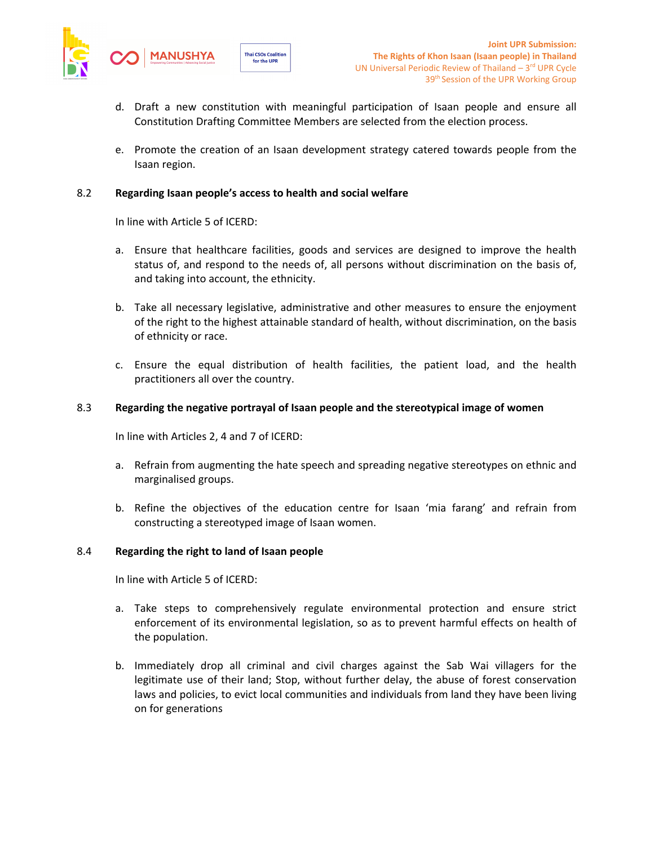

- d. Draft <sup>a</sup> new constitution with meaningful participation of Isaan people and ensure all [Constitution](https://www.thai2english.com/?q=Constitution%20Drafting%20Committee%20Member) Drafting Committee Memb[e](https://www.thai2english.com/?q=Constitution%20Drafting%20Committee%20Member)rs are selected from the election process.
- e. Promote the creation of an Isaan development strategy catered towards people from the Isaan region.

## 8.2 **Regarding Isaan people'<sup>s</sup> access to health and social welfare**

for the UPR

In line with Article 5 of ICERD:

- a. Ensure that healthcare facilities, goods and services are designed to improve the health status of, and respond to the needs of, all persons without discrimination on the basis of, and taking into account, the ethnicity.
- b. Take all necessary legislative, administrative and other measures to ensure the enjoyment of the right to the highest attainable standard of health, without discrimination, on the basis of ethnicity or race.
- c. Ensure the equal distribution of health facilities, the patient load, and the health practitioners all over the country.

## 8.3 **Regarding the negative portrayal of Isaan people and the stereotypical image of women**

In line with Articles 2, 4 and 7 of ICERD:

- a. Refrain from augmenting the hate speech and spreading negative stereotypes on ethnic and marginalised groups.
- b. Refine the objectives of the education centre for Isaan 'mia farang' and refrain from constructing <sup>a</sup> stereotyped image of Isaan women.

#### 8.4 **Regarding the right to land of Isaan people**

In line with Article 5 of ICERD:

- a. Take steps to comprehensively regulate environmental protection and ensure strict enforcement of its environmental legislation, so as to prevent harmful effects on health of the population.
- b. Immediately drop all criminal and civil charges against the Sab Wai villagers for the legitimate use of their land; Stop, without further delay, the abuse of forest conservation laws and policies, to evict local communities and individuals from land they have been living on for generations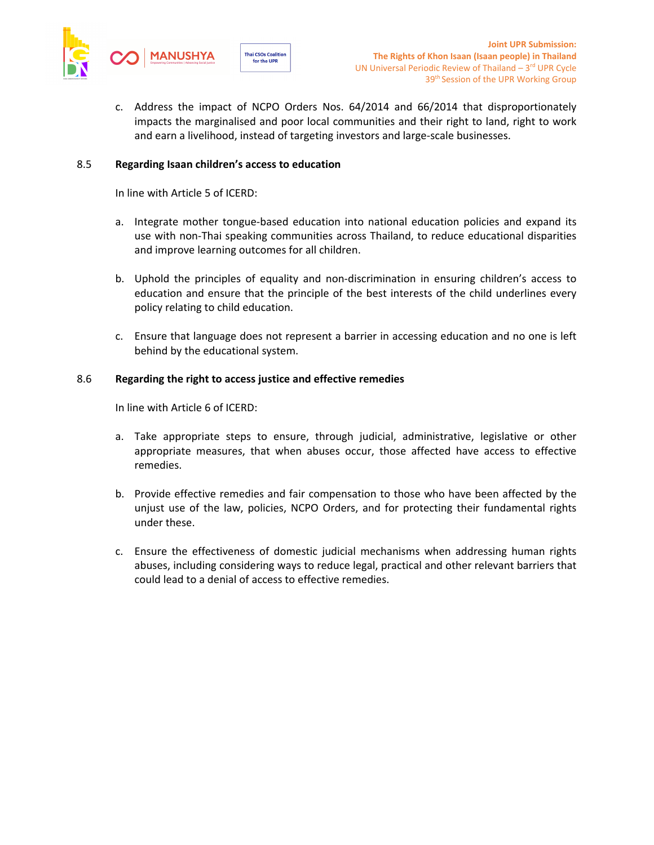

c. Address the impact of NCPO Orders Nos. 64/2014 and 66/2014 that disproportionately impacts the marginalised and poor local communities and their right to land, right to work and earn <sup>a</sup> livelihood, instead of targeting investors and large-scale businesses.

## 8.5 **Regarding Isaan children'<sup>s</sup> access to education**

**Thai CSOs Coalition** 

for the UPR

In line with Article 5 of ICERD:

- a. Integrate mother tongue-based education into national education policies and expand its use with non-Thai speaking communities across Thailand, to reduce educational disparities and improve learning outcomes for all children.
- b. Uphold the principles of equality and non-discrimination in ensuring children'<sup>s</sup> access to education and ensure that the principle of the best interests of the child underlines every policy relating to child education.
- c. Ensure that language does not represent <sup>a</sup> barrier in accessing education and no one is left behind by the educational system.

## 8.6 **Regarding the right to access justice and effective remedies**

In line with Article 6 of ICERD:

- a. Take appropriate steps to ensure, through judicial, administrative, legislative or other appropriate measures, that when abuses occur, those affected have access to effective remedies.
- b. Provide effective remedies and fair compensation to those who have been affected by the unjust use of the law, policies, NCPO Orders, and for protecting their fundamental rights under these.
- c. Ensure the effectiveness of domestic judicial mechanisms when addressing human rights abuses, including considering ways to reduce legal, practical and other relevant barriers that could lead to <sup>a</sup> denial of access to effective remedies.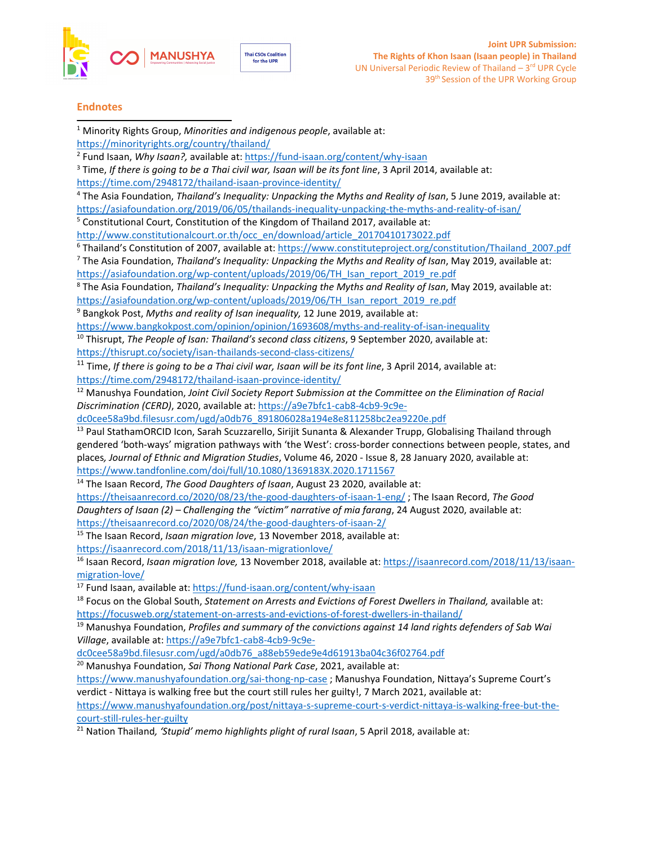



#### **Endnotes**

- <sup>1</sup> Minority Rights Group, *Minorities and indigenous people*, available at:
- <https://minorityrights.org/country/thailand/>
- 2 Fund Isaan, *Why Isaan?,* available at: <https://fund-isaan.org/content/why-isaan>
- 3 Time, *If there is going to be <sup>a</sup> Thai civil war, Isaan will be its font line*, 3 April 2014, available at: <https://time.com/2948172/thailand-isaan-province-identity/>
- 4 The Asia Foundation, *Thailand'<sup>s</sup> Inequality: Unpacking the Myths and Reality of Isan*, 5 June 2019, available at:
- <https://asiafoundation.org/2019/06/05/thailands-inequality-unpacking-the-myths-and-reality-of-isan/>
- <sup>5</sup> Constitutional Court, Constitution of the Kingdom of Thailand 2017, available at:

[http://www.constitutionalcourt.or.th/occ\\_en/download/article\\_20170410173022.pdf](http://www.constitutionalcourt.or.th/occ_en/download/article_20170410173022.pdf)

<sup>6</sup> Thailand's Constitution of 2007, available at: [https://www.constituteproject.org/constitution/Thailand\\_2007.pdf](https://www.constituteproject.org/constitution/Thailand_2007.pdf)

7 The Asia Foundation, *Thailand'<sup>s</sup> Inequality: Unpacking the Myths and Reality of Isan*, May 2019, available at: [https://asiafoundation.org/wp-content/uploads/2019/06/TH\\_Isan\\_report\\_2019\\_re.pdf](https://asiafoundation.org/wp-content/uploads/2019/06/TH_Isan_report_2019_re.pdf)

8 The Asia Foundation, *Thailand'<sup>s</sup> Inequality: Unpacking the Myths and Reality of Isan*, May 2019, available at: [https://asiafoundation.org/wp-content/uploads/2019/06/TH\\_Isan\\_report\\_2019\\_re.pdf](https://asiafoundation.org/wp-content/uploads/2019/06/TH_Isan_report_2019_re.pdf)

9 Bangkok Post, *Myths and reality of Isan inequality,* 12 June 2019, available at:

<https://www.bangkokpost.com/opinion/opinion/1693608/myths-and-reality-of-isan-inequality>

10 Thisrupt, *The People of Isan: Thailand'<sup>s</sup> second class citizens*, 9 September 2020, available at:

<https://thisrupt.co/society/isan-thailands-second-class-citizens/>

11 Time, *If there is going to be <sup>a</sup> Thai civil war, Isaan will be its font line*, 3 April 2014, available at: <https://time.com/2948172/thailand-isaan-province-identity/>

<sup>12</sup> Manushya Foundation, *Joint Civil Society Report Submission at the Committee on the Elimination of Racial Discrimination (CERD)*, 2020, available at: [https://a9e7bfc1-cab8-4cb9-9c9e-](https://a9e7bfc1-cab8-4cb9-9c9e-dc0cee58a9bd.filesusr.com/ugd/a0db76_891806028a194e8e811258bc2ea9220e.pdf)

[dc0cee58a9bd.filesusr.com/ugd/a0db76\\_891806028a194e8e811258bc2ea9220e.pdf](https://a9e7bfc1-cab8-4cb9-9c9e-dc0cee58a9bd.filesusr.com/ugd/a0db76_891806028a194e8e811258bc2ea9220e.pdf)

<sup>13</sup> Paul StathamORCID Icon, Sarah Scuzzarello, Sirijit Sunanta & Alexander Trupp, Globalising Thailand through gendered 'both-ways' migration pathways with 'the West': cross-border connections between people, states, and places*, Journal of Ethnic and Migration Studies*, Volume 46, 2020 - Issue 8, 28 January 2020, available at: <https://www.tandfonline.com/doi/full/10.1080/1369183X.2020.1711567>

14 The Isaan Record, *The Good Daughters of Isaan*, August 23 2020, available at:

<https://theisaanrecord.co/2020/08/23/the-good-daughters-of-isaan-1-eng/> ; The Isaan Record, *The Good Daughters of Isaan (2) – Challenging the "victim" narrative of mia farang*, 24 August 2020, available at: <https://theisaanrecord.co/2020/08/24/the-good-daughters-of-isaan-2/>

15 The Isaan Record, *Isaan migration love*, 13 November 2018, available at: <https://isaanrecord.com/2018/11/13/isaan-migrationlove/>

16 Isaan Record, *Isaan migration love,* 13 November 2018, available at: [https://isaanrecord.com/2018/11/13/isaan](https://isaanrecord.com/2018/11/13/isaan-migration-love/)[migration-love/](https://isaanrecord.com/2018/11/13/isaan-migration-love/)

<sup>17</sup> Fund Isaan, available at: <https://fund-isaan.org/content/why-isaan>

18 Focus on the Global South, *Statement on Arrests and Evictions of Forest Dwellers in Thailand,* available at: <https://focusweb.org/statement-on-arrests-and-evictions-of-forest-dwellers-in-thailand/>

<sup>19</sup> Manushya Foundation, *Profiles and summary of the convictions against <sup>14</sup> land rights defenders of Sab Wai Village*, available at: [https://a9e7bfc1-cab8-4cb9-9c9e-](https://a9e7bfc1-cab8-4cb9-9c9e-dc0cee58a9bd.filesusr.com/ugd/a0db76_a88eb59ede9e4d61913ba04c36f02764.pdf)

[dc0cee58a9bd.filesusr.com/ugd/a0db76\\_a88eb59ede9e4d61913ba04c36f02764.pdf](https://a9e7bfc1-cab8-4cb9-9c9e-dc0cee58a9bd.filesusr.com/ugd/a0db76_a88eb59ede9e4d61913ba04c36f02764.pdf)

<sup>20</sup> Manushya Foundation, *Sai Thong National Park Case*, 2021, available at:

<https://www.manushyafoundation.org/sai-thong-np-case> ; Manushya Foundation, Nittaya'<sup>s</sup> Supreme Court'<sup>s</sup> verdict - Nittaya is walking free but the court still rules her guilty!, 7 March 2021, available at:

[https://www.manushyafoundation.org/post/nittaya-s-supreme-court-s-verdict-nittaya-is-walking-free-but-the](https://www.manushyafoundation.org/post/nittaya-s-supreme-court-s-verdict-nittaya-is-walking-free-but-the-court-still-rules-her-guilty)[court-still-rules-her-guilty](https://www.manushyafoundation.org/post/nittaya-s-supreme-court-s-verdict-nittaya-is-walking-free-but-the-court-still-rules-her-guilty)

21 Nation Thailand*, 'Stupid' memo highlights plight of rural Isaan*, 5 April 2018, available at: